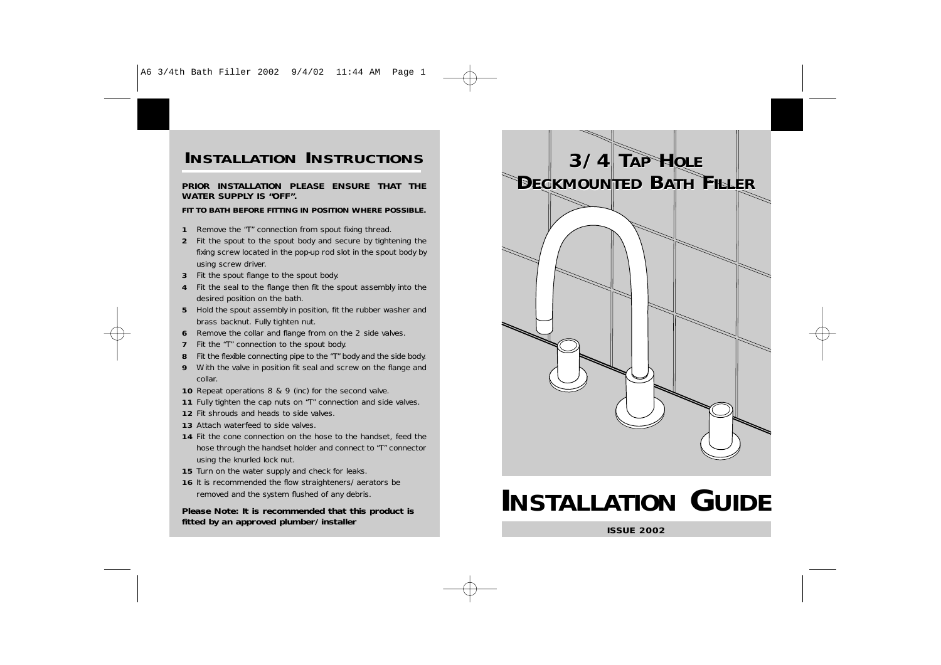## **INSTALLATION INSTRUCTIONS 3/4 TAP**

#### **PRIOR INSTALLATION PLEASE ENSURE THAT THEWATER SUPPLY IS "OFF".**

### **FIT TO BATH BEFORE FITTING IN POSITION WHERE POSSIBLE.**

- **1**Remove the "T" connection from spout fixing thread.
- **2** Fit the spout to the spout body and secure by tightening the fixing screw located in the pop-up rod slot in the spout body by using screw driver.
- **3** Fit the spout flange to the spout body.
- **4** Fit the seal to the flange then fit the spout assembly into the desired position on the bath.
- **5** Hold the spout assembly in position, fit the rubber washer and brass backnut. Fully tighten nut.
- **6** Remove the collar and flange from on the 2 side valves.
- **7**Fit the "T" connection to the spout body.
- **8**Fit the flexible connecting pipe to the "T" body and the side body.
- **9** With the valve in position fit seal and screw on the flange and collar.
- **10** Repeat operations 8 & 9 (inc) for the second valve.
- **11** Fully tighten the cap nuts on "T" connection and side valves.
- **12** Fit shrouds and heads to side valves.
- **13** Attach waterfeed to side valves.
- **14** Fit the cone connection on the hose to the handset, feed the hose through the handset holder and connect to "T" connector using the knurled lock nut.
- **15** Turn on the water supply and check for leaks.
- **16** It is recommended the flow straighteners/aerators be removed and the system flushed of any debris.

**Please Note: It is recommended that this product is fitted by an approved plumber/installer**



# **INSTALLATION GUIDE**

**ISSUE 2002**